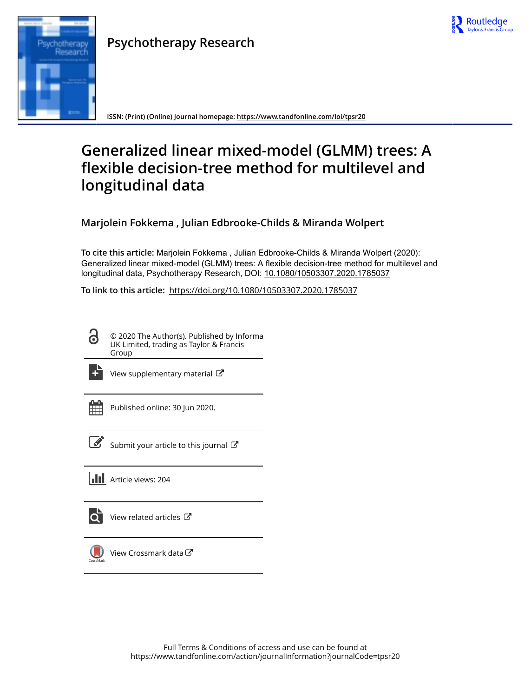

# Research

**Psychotherapy Research**

**ISSN: (Print) (Online) Journal homepage:<https://www.tandfonline.com/loi/tpsr20>**

# **Generalized linear mixed-model (GLMM) trees: A flexible decision-tree method for multilevel and longitudinal data**

**Marjolein Fokkema , Julian Edbrooke-Childs & Miranda Wolpert**

**To cite this article:** Marjolein Fokkema , Julian Edbrooke-Childs & Miranda Wolpert (2020): Generalized linear mixed-model (GLMM) trees: A flexible decision-tree method for multilevel and longitudinal data, Psychotherapy Research, DOI: [10.1080/10503307.2020.1785037](https://www.tandfonline.com/action/showCitFormats?doi=10.1080/10503307.2020.1785037)

**To link to this article:** <https://doi.org/10.1080/10503307.2020.1785037>

© 2020 The Author(s). Published by Informa UK Limited, trading as Taylor & Francis Group



[View supplementary material](https://www.tandfonline.com/doi/suppl/10.1080/10503307.2020.1785037)  $\mathbb{Z}$ 

Published online: 30 Jun 2020.



 $\overline{\mathscr{L}}$  [Submit your article to this journal](https://www.tandfonline.com/action/authorSubmission?journalCode=tpsr20&show=instructions)  $\mathbb{Z}$ 



[View related articles](https://www.tandfonline.com/doi/mlt/10.1080/10503307.2020.1785037)  $\mathbb{Z}$ 



[View Crossmark data](http://crossmark.crossref.org/dialog/?doi=10.1080/10503307.2020.1785037&domain=pdf&date_stamp=2020-06-30)  $\sigma$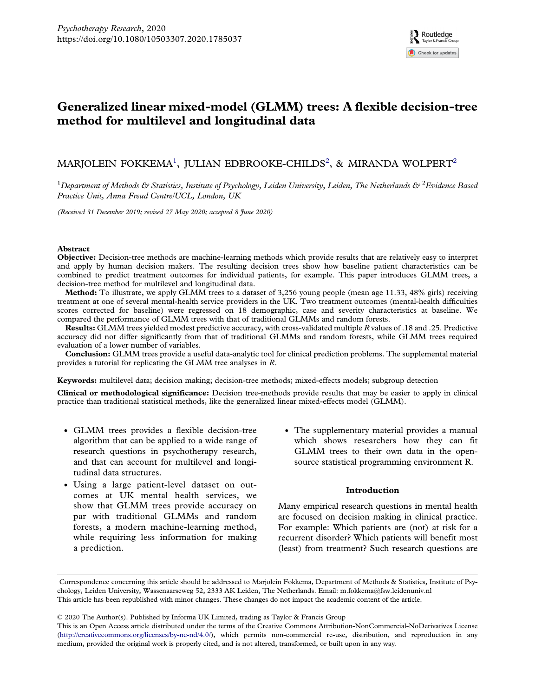# Generalized linear mixed-model (GLMM) trees: A flexible decision-tree method for multilevel and longitudinal data

## MARJOLEIN FOKKEMA<sup>1</sup>, JULIAN EDBROOKE-CHILDS<sup>2</sup>, & MIRANDA WOLPERT<sup>2</sup>

 $^1$ Department of Methods & Statistics, Institute of Psychology, Leiden University, Leiden, The Netherlands &  $^2$ Evidence Based Practice Unit, Anna Freud Centre/UCL, London, UK

(Received 31 December 2019; revised 27 May 2020; accepted 8 June 2020)

### Abstract

Objective: Decision-tree methods are machine-learning methods which provide results that are relatively easy to interpret and apply by human decision makers. The resulting decision trees show how baseline patient characteristics can be combined to predict treatment outcomes for individual patients, for example. This paper introduces GLMM trees, a decision-tree method for multilevel and longitudinal data.

Method: To illustrate, we apply GLMM trees to a dataset of 3,256 young people (mean age 11.33, 48% girls) receiving treatment at one of several mental-health service providers in the UK. Two treatment outcomes (mental-health difficulties scores corrected for baseline) were regressed on 18 demographic, case and severity characteristics at baseline. We compared the performance of GLMM trees with that of traditional GLMMs and random forests.

Results: GLMM trees yielded modest predictive accuracy, with cross-validated multiple R values of .18 and .25. Predictive accuracy did not differ significantly from that of traditional GLMMs and random forests, while GLMM trees required evaluation of a lower number of variables.

Conclusion: GLMM trees provide a useful data-analytic tool for clinical prediction problems. The supplemental material provides a tutorial for replicating the GLMM tree analyses in R.

Keywords: multilevel data; decision making; decision-tree methods; mixed-effects models; subgroup detection

Clinical or methodological significance: Decision tree-methods provide results that may be easier to apply in clinical practice than traditional statistical methods, like the generalized linear mixed-effects model (GLMM).

- . GLMM trees provides a flexible decision-tree algorithm that can be applied to a wide range of research questions in psychotherapy research, and that can account for multilevel and longitudinal data structures.
- . Using a large patient-level dataset on outcomes at UK mental health services, we show that GLMM trees provide accuracy on par with traditional GLMMs and random forests, a modern machine-learning method, while requiring less information for making a prediction.
- . The supplementary material provides a manual which shows researchers how they can fit GLMM trees to their own data in the opensource statistical programming environment R.

### Introduction

Many empirical research questions in mental health are focused on decision making in clinical practice. For example: Which patients are (not) at risk for a recurrent disorder? Which patients will benefit most (least) from treatment? Such research questions are

© 2020 The Author(s). Published by Informa UK Limited, trading as Taylor & Francis Group

Correspondence concerning this article should be addressed to Marjolein Fokkema, Department of Methods & Statistics, Institute of Psychology, Leiden University, Wassenaarseweg 52, 2333 AK Leiden, The Netherlands. Email: [m.fokkema@fsw.leidenuniv.nl](mailto:m.fokkema@fsw.leidenuniv.nl) This article has been republished with minor changes. These changes do not impact the academic content of the article.

This is an Open Access article distributed under the terms of the Creative Commons Attribution-NonCommercial-NoDerivatives License [\(http://creativecommons.org/licenses/by-nc-nd/4.0/](http://creativecommons.org/licenses/by-nc-nd/4.0/)), which permits non-commercial re-use, distribution, and reproduction in any medium, provided the original work is properly cited, and is not altered, transformed, or built upon in any way.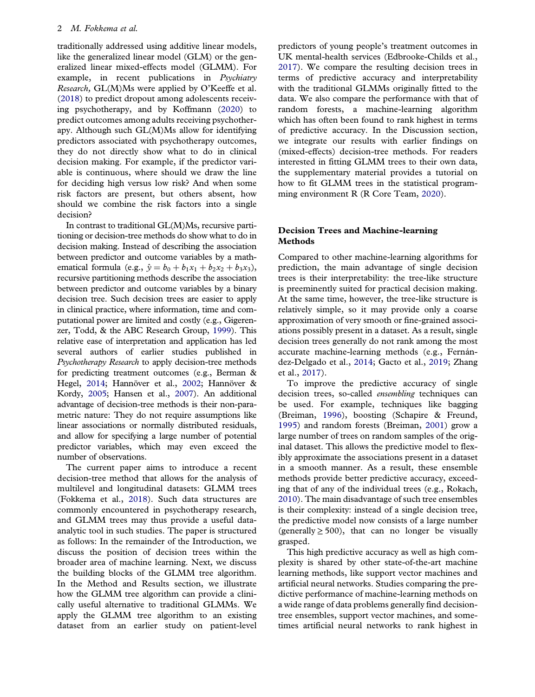<span id="page-2-0"></span>traditionally addressed using additive linear models, like the generalized linear model (GLM) or the generalized linear mixed-effects model (GLMM). For example, in recent publications in Psychiatry Research, GL(M)Ms were applied by O'Keeffe et al. ([2018\)](#page-12-0) to predict dropout among adolescents receiving psychotherapy, and by Koffmann ([2020](#page-12-0)) to predict outcomes among adults receiving psychotherapy. Although such GL(M)Ms allow for identifying predictors associated with psychotherapy outcomes, they do not directly show what to do in clinical decision making. For example, if the predictor variable is continuous, where should we draw the line for deciding high versus low risk? And when some risk factors are present, but others absent, how should we combine the risk factors into a single decision?

In contrast to traditional GL(M)Ms, recursive partitioning or decision-tree methods do show what to do in decision making. Instead of describing the association between predictor and outcome variables by a mathematical formula (e.g.,  $\hat{y} = b_0 + b_1x_1 + b_2x_2 + b_3x_3$ ), recursive partitioning methods describe the association between predictor and outcome variables by a binary decision tree. Such decision trees are easier to apply in clinical practice, where information, time and computational power are limited and costly (e.g., Gigerenzer, Todd, & the ABC Research Group, [1999](#page-12-0)). This relative ease of interpretation and application has led several authors of earlier studies published in Psychotherapy Research to apply decision-tree methods for predicting treatment outcomes (e.g., Berman & Hegel, [2014;](#page-11-0) Hannöver et al., [2002;](#page-12-0) Hannöver & Kordy, [2005](#page-12-0); Hansen et al., [2007](#page-12-0)). An additional advantage of decision-tree methods is their non-parametric nature: They do not require assumptions like linear associations or normally distributed residuals, and allow for specifying a large number of potential predictor variables, which may even exceed the number of observations.

The current paper aims to introduce a recent decision-tree method that allows for the analysis of multilevel and longitudinal datasets: GLMM trees (Fokkema et al., [2018](#page-12-0)). Such data structures are commonly encountered in psychotherapy research, and GLMM trees may thus provide a useful dataanalytic tool in such studies. The paper is structured as follows: In the remainder of the Introduction, we discuss the position of decision trees within the broader area of machine learning. Next, we discuss the building blocks of the GLMM tree algorithm. In the Method and Results section, we illustrate how the GLMM tree algorithm can provide a clinically useful alternative to traditional GLMMs. We apply the GLMM tree algorithm to an existing dataset from an earlier study on patient-level predictors of young people's treatment outcomes in UK mental-health services (Edbrooke-Childs et al., [2017\)](#page-12-0). We compare the resulting decision trees in terms of predictive accuracy and interpretability with the traditional GLMMs originally fitted to the data. We also compare the performance with that of random forests, a machine-learning algorithm which has often been found to rank highest in terms of predictive accuracy. In the Discussion section, we integrate our results with earlier findings on (mixed-effects) decision-tree methods. For readers interested in fitting GLMM trees to their own data, the supplementary material provides a tutorial on how to fit GLMM trees in the statistical programming environment R (R Core Team, [2020\)](#page-12-0).

### Decision Trees and Machine-learning Methods

Compared to other machine-learning algorithms for prediction, the main advantage of single decision trees is their interpretability: the tree-like structure is preeminently suited for practical decision making. At the same time, however, the tree-like structure is relatively simple, so it may provide only a coarse approximation of very smooth or fine-grained associations possibly present in a dataset. As a result, single decision trees generally do not rank among the most accurate machine-learning methods (e.g., Fernández-Delgado et al., [2014;](#page-12-0) Gacto et al., [2019](#page-12-0); Zhang et al., [2017\)](#page-13-0).

To improve the predictive accuracy of single decision trees, so-called ensembling techniques can be used. For example, techniques like bagging (Breiman, [1996](#page-11-0)), boosting (Schapire & Freund, [1995\)](#page-13-0) and random forests (Breiman, [2001](#page-11-0)) grow a large number of trees on random samples of the original dataset. This allows the predictive model to flexibly approximate the associations present in a dataset in a smooth manner. As a result, these ensemble methods provide better predictive accuracy, exceeding that of any of the individual trees (e.g., Rokach, [2010\)](#page-12-0). The main disadvantage of such tree ensembles is their complexity: instead of a single decision tree, the predictive model now consists of a large number (generally  $\geq 500$ ), that can no longer be visually grasped.

This high predictive accuracy as well as high complexity is shared by other state-of-the-art machine learning methods, like support vector machines and artificial neural networks. Studies comparing the predictive performance of machine-learning methods on a wide range of data problems generally find decisiontree ensembles, support vector machines, and sometimes artificial neural networks to rank highest in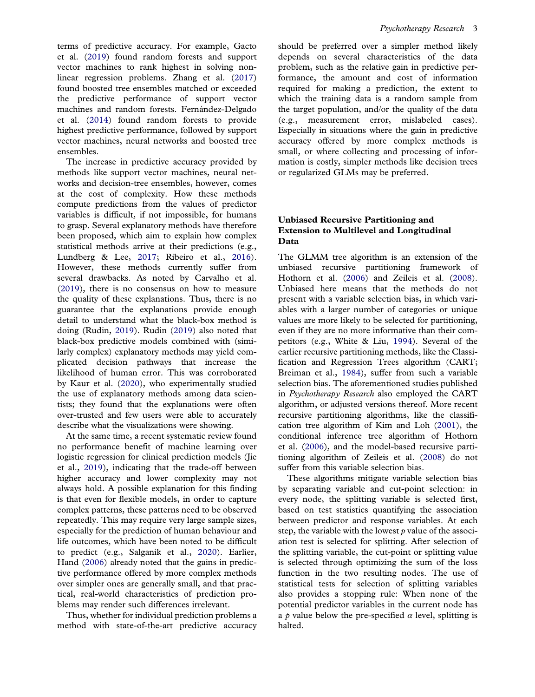<span id="page-3-0"></span>terms of predictive accuracy. For example, Gacto et al. [\(2019](#page-12-0)) found random forests and support vector machines to rank highest in solving nonlinear regression problems. Zhang et al. [\(2017\)](#page-13-0) found boosted tree ensembles matched or exceeded the predictive performance of support vector machines and random forests. Fernández-Delgado et al. ([2014](#page-12-0)) found random forests to provide highest predictive performance, followed by support vector machines, neural networks and boosted tree ensembles.

The increase in predictive accuracy provided by methods like support vector machines, neural networks and decision-tree ensembles, however, comes at the cost of complexity. How these methods compute predictions from the values of predictor variables is difficult, if not impossible, for humans to grasp. Several explanatory methods have therefore been proposed, which aim to explain how complex statistical methods arrive at their predictions (e.g., Lundberg & Lee, [2017](#page-12-0); Ribeiro et al., [2016\)](#page-12-0). However, these methods currently suffer from several drawbacks. As noted by Carvalho et al. ([2019\)](#page-11-0), there is no consensus on how to measure the quality of these explanations. Thus, there is no guarantee that the explanations provide enough detail to understand what the black-box method is doing (Rudin, [2019\)](#page-12-0). Rudin ([2019](#page-12-0)) also noted that black-box predictive models combined with (similarly complex) explanatory methods may yield complicated decision pathways that increase the likelihood of human error. This was corroborated by Kaur et al. [\(2020](#page-12-0)), who experimentally studied the use of explanatory methods among data scientists; they found that the explanations were often over-trusted and few users were able to accurately describe what the visualizations were showing.

At the same time, a recent systematic review found no performance benefit of machine learning over logistic regression for clinical prediction models (Jie et al., [2019](#page-12-0)), indicating that the trade-off between higher accuracy and lower complexity may not always hold. A possible explanation for this finding is that even for flexible models, in order to capture complex patterns, these patterns need to be observed repeatedly. This may require very large sample sizes, especially for the prediction of human behaviour and life outcomes, which have been noted to be difficult to predict (e.g., Salganik et al., [2020](#page-13-0)). Earlier, Hand ([2006\)](#page-12-0) already noted that the gains in predictive performance offered by more complex methods over simpler ones are generally small, and that practical, real-world characteristics of prediction problems may render such differences irrelevant.

Thus, whether for individual prediction problems a method with state-of-the-art predictive accuracy should be preferred over a simpler method likely depends on several characteristics of the data problem, such as the relative gain in predictive performance, the amount and cost of information required for making a prediction, the extent to which the training data is a random sample from the target population, and/or the quality of the data (e.g., measurement error, mislabeled cases). Especially in situations where the gain in predictive accuracy offered by more complex methods is small, or where collecting and processing of information is costly, simpler methods like decision trees or regularized GLMs may be preferred.

### Unbiased Recursive Partitioning and Extension to Multilevel and Longitudinal Data

The GLMM tree algorithm is an extension of the unbiased recursive partitioning framework of Hothorn et al. [\(2006\)](#page-12-0) and Zeileis et al. ([2008\)](#page-13-0). Unbiased here means that the methods do not present with a variable selection bias, in which variables with a larger number of categories or unique values are more likely to be selected for partitioning, even if they are no more informative than their competitors (e.g., White & Liu, [1994\)](#page-13-0). Several of the earlier recursive partitioning methods, like the Classification and Regression Trees algorithm (CART; Breiman et al., [1984\)](#page-11-0), suffer from such a variable selection bias. The aforementioned studies published in Psychotherapy Research also employed the CART algorithm, or adjusted versions thereof. More recent recursive partitioning algorithms, like the classification tree algorithm of Kim and Loh [\(2001\)](#page-12-0), the conditional inference tree algorithm of Hothorn et al. [\(2006](#page-12-0)), and the model-based recursive partitioning algorithm of Zeileis et al. ([2008\)](#page-13-0) do not suffer from this variable selection bias.

These algorithms mitigate variable selection bias by separating variable and cut-point selection: in every node, the splitting variable is selected first, based on test statistics quantifying the association between predictor and response variables. At each step, the variable with the lowest  $p$  value of the association test is selected for splitting. After selection of the splitting variable, the cut-point or splitting value is selected through optimizing the sum of the loss function in the two resulting nodes. The use of statistical tests for selection of splitting variables also provides a stopping rule: When none of the potential predictor variables in the current node has a p value below the pre-specified  $\alpha$  level, splitting is halted.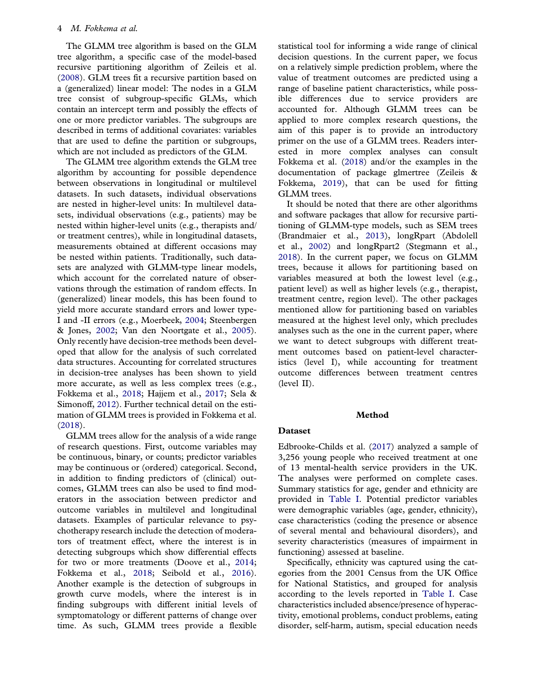### <span id="page-4-0"></span>4 M. Fokkema et al.

The GLMM tree algorithm is based on the GLM tree algorithm, a specific case of the model-based recursive partitioning algorithm of Zeileis et al. ([2008\)](#page-13-0). GLM trees fit a recursive partition based on a (generalized) linear model: The nodes in a GLM tree consist of subgroup-specific GLMs, which contain an intercept term and possibly the effects of one or more predictor variables. The subgroups are described in terms of additional covariates: variables that are used to define the partition or subgroups, which are not included as predictors of the GLM.

The GLMM tree algorithm extends the GLM tree algorithm by accounting for possible dependence between observations in longitudinal or multilevel datasets. In such datasets, individual observations are nested in higher-level units: In multilevel datasets, individual observations (e.g., patients) may be nested within higher-level units (e.g., therapists and/ or treatment centres), while in longitudinal datasets, measurements obtained at different occasions may be nested within patients. Traditionally, such datasets are analyzed with GLMM-type linear models, which account for the correlated nature of observations through the estimation of random effects. In (generalized) linear models, this has been found to yield more accurate standard errors and lower type-I and -II errors (e.g., Moerbeek, [2004;](#page-12-0) Steenbergen & Jones, [2002](#page-13-0); Van den Noortgate et al., [2005\)](#page-13-0). Only recently have decision-tree methods been developed that allow for the analysis of such correlated data structures. Accounting for correlated structures in decision-tree analyses has been shown to yield more accurate, as well as less complex trees (e.g., Fokkema et al., [2018;](#page-12-0) Hajjem et al., [2017](#page-12-0); Sela & Simonoff, [2012](#page-13-0)). Further technical detail on the estimation of GLMM trees is provided in Fokkema et al. ([2018\)](#page-12-0).

GLMM trees allow for the analysis of a wide range of research questions. First, outcome variables may be continuous, binary, or counts; predictor variables may be continuous or (ordered) categorical. Second, in addition to finding predictors of (clinical) outcomes, GLMM trees can also be used to find moderators in the association between predictor and outcome variables in multilevel and longitudinal datasets. Examples of particular relevance to psychotherapy research include the detection of moderators of treatment effect, where the interest is in detecting subgroups which show differential effects for two or more treatments (Doove et al., [2014;](#page-12-0) Fokkema et al., [2018](#page-12-0); Seibold et al., [2016\)](#page-13-0). Another example is the detection of subgroups in growth curve models, where the interest is in finding subgroups with different initial levels of symptomatology or different patterns of change over time. As such, GLMM trees provide a flexible

statistical tool for informing a wide range of clinical decision questions. In the current paper, we focus on a relatively simple prediction problem, where the value of treatment outcomes are predicted using a range of baseline patient characteristics, while possible differences due to service providers are accounted for. Although GLMM trees can be applied to more complex research questions, the aim of this paper is to provide an introductory primer on the use of a GLMM trees. Readers interested in more complex analyses can consult Fokkema et al. ([2018](#page-12-0)) and/or the examples in the documentation of package glmertree (Zeileis & Fokkema, [2019](#page-13-0)), that can be used for fitting GLMM trees.

It should be noted that there are other algorithms and software packages that allow for recursive partitioning of GLMM-type models, such as SEM trees (Brandmaier et al., [2013](#page-11-0)), longRpart (Abdolell et al., [2002](#page-11-0)) and longRpart2 (Stegmann et al., [2018\)](#page-13-0). In the current paper, we focus on GLMM trees, because it allows for partitioning based on variables measured at both the lowest level (e.g., patient level) as well as higher levels (e.g., therapist, treatment centre, region level). The other packages mentioned allow for partitioning based on variables measured at the highest level only, which precludes analyses such as the one in the current paper, where we want to detect subgroups with different treatment outcomes based on patient-level characteristics (level I), while accounting for treatment outcome differences between treatment centres (level II).

### Method

### Dataset

Edbrooke-Childs et al. ([2017\)](#page-12-0) analyzed a sample of 3,256 young people who received treatment at one of 13 mental-health service providers in the UK. The analyses were performed on complete cases. Summary statistics for age, gender and ethnicity are provided in [Table I](#page-5-0). Potential predictor variables were demographic variables (age, gender, ethnicity), case characteristics (coding the presence or absence of several mental and behavioural disorders), and severity characteristics (measures of impairment in functioning) assessed at baseline.

Specifically, ethnicity was captured using the categories from the 2001 Census from the UK Office for National Statistics, and grouped for analysis according to the levels reported in [Table I](#page-5-0). Case characteristics included absence/presence of hyperactivity, emotional problems, conduct problems, eating disorder, self-harm, autism, special education needs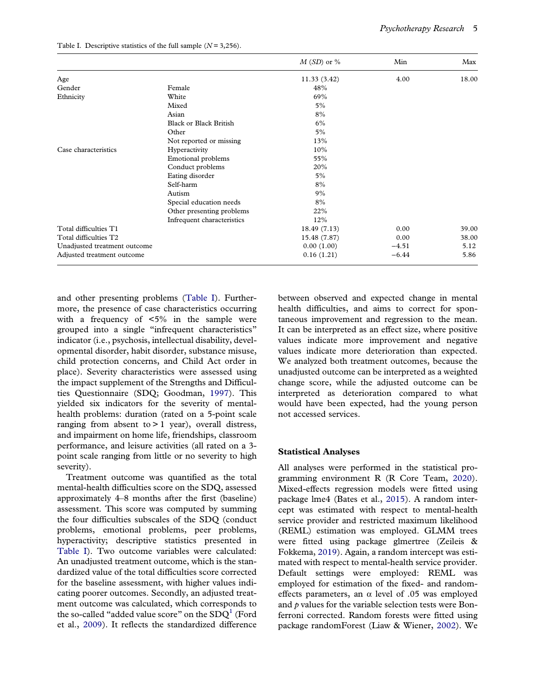|                              |                               | $M(SD)$ or % | Min     | Max   |
|------------------------------|-------------------------------|--------------|---------|-------|
| Age                          |                               | 11.33 (3.42) | 4.00    | 18.00 |
| Gender                       | Female                        | 48%          |         |       |
| Ethnicity                    | White                         | 69%          |         |       |
|                              | Mixed                         | 5%           |         |       |
|                              | Asian                         | 8%           |         |       |
|                              | <b>Black or Black British</b> | 6%           |         |       |
|                              | Other                         | 5%           |         |       |
|                              | Not reported or missing       | 13%          |         |       |
| Case characteristics         | Hyperactivity                 | 10%          |         |       |
|                              | Emotional problems            | 55%          |         |       |
|                              | Conduct problems              | 20%          |         |       |
|                              | Eating disorder               | 5%           |         |       |
|                              | Self-harm                     | 8%           |         |       |
|                              | Autism                        | 9%           |         |       |
|                              | Special education needs       | 8%           |         |       |
|                              | Other presenting problems     | 22%          |         |       |
|                              | Infrequent characteristics    | 12%          |         |       |
| Total difficulties T1        |                               | 18.49 (7.13) | 0.00    | 39.00 |
| Total difficulties T2        |                               | 15.48 (7.87) | 0.00    | 38.00 |
| Unadjusted treatment outcome |                               | 0.00(1.00)   | $-4.51$ | 5.12  |
| Adjusted treatment outcome   |                               | 0.16(1.21)   | $-6.44$ | 5.86  |

<span id="page-5-0"></span>Table I. Descriptive statistics of the full sample  $(N = 3,256)$ .

and other presenting problems (Table I). Furthermore, the presence of case characteristics occurring with a frequency of  $5\%$  in the sample were grouped into a single "infrequent characteristics" indicator (i.e., psychosis, intellectual disability, developmental disorder, habit disorder, substance misuse, child protection concerns, and Child Act order in place). Severity characteristics were assessed using the impact supplement of the Strengths and Difficulties Questionnaire (SDQ; Goodman, [1997\)](#page-12-0). This yielded six indicators for the severity of mentalhealth problems: duration (rated on a 5-point scale ranging from absent to  $> 1$  year), overall distress, and impairment on home life, friendships, classroom performance, and leisure activities (all rated on a 3 point scale ranging from little or no severity to high severity).

Treatment outcome was quantified as the total mental-health difficulties score on the SDQ, assessed approximately 4–8 months after the first (baseline) assessment. This score was computed by summing the four difficulties subscales of the SDQ (conduct problems, emotional problems, peer problems, hyperactivity; descriptive statistics presented in Table I). Two outcome variables were calculated: An unadjusted treatment outcome, which is the standardized value of the total difficulties score corrected for the baseline assessment, with higher values indicating poorer outcomes. Secondly, an adjusted treatment outcome was calculated, which corresponds to the so-called "added value score" on the  $SDQ<sup>1</sup>$  $SDQ<sup>1</sup>$  $SDQ<sup>1</sup>$  (Ford et al., [2009](#page-12-0)). It reflects the standardized difference

between observed and expected change in mental health difficulties, and aims to correct for spontaneous improvement and regression to the mean. It can be interpreted as an effect size, where positive values indicate more improvement and negative values indicate more deterioration than expected. We analyzed both treatment outcomes, because the unadjusted outcome can be interpreted as a weighted change score, while the adjusted outcome can be interpreted as deterioration compared to what would have been expected, had the young person not accessed services.

### Statistical Analyses

All analyses were performed in the statistical programming environment R (R Core Team, [2020\)](#page-12-0). Mixed-effects regression models were fitted using package lme4 (Bates et al., [2015](#page-11-0)). A random intercept was estimated with respect to mental-health service provider and restricted maximum likelihood (REML) estimation was employed. GLMM trees were fitted using package glmertree (Zeileis & Fokkema, [2019\)](#page-13-0). Again, a random intercept was estimated with respect to mental-health service provider. Default settings were employed: REML was employed for estimation of the fixed- and randomeffects parameters, an  $\alpha$  level of .05 was employed and  $p$  values for the variable selection tests were Bonferroni corrected. Random forests were fitted using package randomForest (Liaw & Wiener, [2002](#page-12-0)). We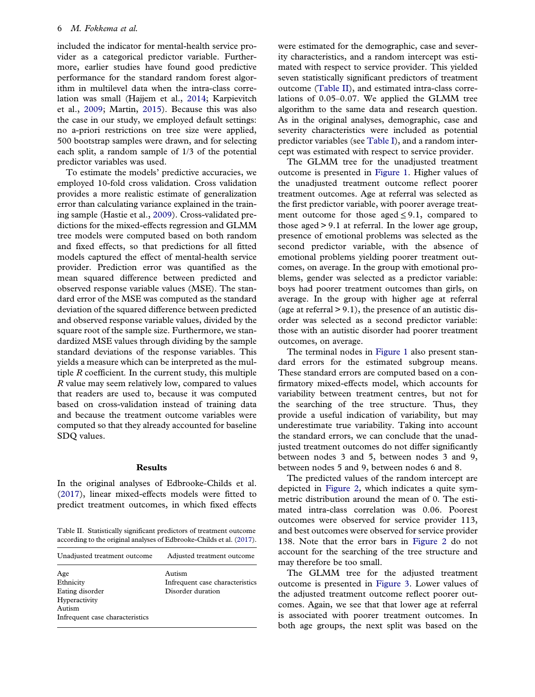<span id="page-6-0"></span>included the indicator for mental-health service provider as a categorical predictor variable. Furthermore, earlier studies have found good predictive performance for the standard random forest algorithm in multilevel data when the intra-class correlation was small (Hajjem et al., [2014;](#page-12-0) Karpievitch et al., [2009](#page-12-0); Martin, [2015](#page-12-0)). Because this was also the case in our study, we employed default settings: no a-priori restrictions on tree size were applied, 500 bootstrap samples were drawn, and for selecting each split, a random sample of 1/3 of the potential predictor variables was used.

To estimate the models' predictive accuracies, we employed 10-fold cross validation. Cross validation provides a more realistic estimate of generalization error than calculating variance explained in the training sample (Hastie et al., [2009\)](#page-12-0). Cross-validated predictions for the mixed-effects regression and GLMM tree models were computed based on both random and fixed effects, so that predictions for all fitted models captured the effect of mental-health service provider. Prediction error was quantified as the mean squared difference between predicted and observed response variable values (MSE). The standard error of the MSE was computed as the standard deviation of the squared difference between predicted and observed response variable values, divided by the square root of the sample size. Furthermore, we standardized MSE values through dividing by the sample standard deviations of the response variables. This yields a measure which can be interpreted as the multiple R coefficient. In the current study, this multiple R value may seem relatively low, compared to values that readers are used to, because it was computed based on cross-validation instead of training data and because the treatment outcome variables were computed so that they already accounted for baseline SDQ values.

### Results

In the original analyses of Edbrooke-Childs et al. ([2017\)](#page-12-0), linear mixed-effects models were fitted to predict treatment outcomes, in which fixed effects

Table II. Statistically significant predictors of treatment outcome according to the original analyses of Edbrooke-Childs et al. ([2017](#page-12-0)).

| Unadjusted treatment outcome                                                                      | Adjusted treatment outcome                                     |
|---------------------------------------------------------------------------------------------------|----------------------------------------------------------------|
| Age<br>Ethnicity<br>Eating disorder<br>Hyperactivity<br>Autism<br>Infrequent case characteristics | Autism<br>Infrequent case characteristics<br>Disorder duration |
|                                                                                                   |                                                                |

were estimated for the demographic, case and severity characteristics, and a random intercept was estimated with respect to service provider. This yielded seven statistically significant predictors of treatment outcome (Table II), and estimated intra-class correlations of 0.05–0.07. We applied the GLMM tree algorithm to the same data and research question. As in the original analyses, demographic, case and severity characteristics were included as potential predictor variables (see [Table I](#page-5-0)), and a random intercept was estimated with respect to service provider.

The GLMM tree for the unadjusted treatment outcome is presented in [Figure 1.](#page-7-0) Higher values of the unadjusted treatment outcome reflect poorer treatment outcomes. Age at referral was selected as the first predictor variable, with poorer average treatment outcome for those aged  $\leq 9.1$ , compared to those aged > 9.1 at referral. In the lower age group, presence of emotional problems was selected as the second predictor variable, with the absence of emotional problems yielding poorer treatment outcomes, on average. In the group with emotional problems, gender was selected as a predictor variable: boys had poorer treatment outcomes than girls, on average. In the group with higher age at referral (age at referral  $> 9.1$ ), the presence of an autistic disorder was selected as a second predictor variable: those with an autistic disorder had poorer treatment outcomes, on average.

The terminal nodes in [Figure 1](#page-7-0) also present standard errors for the estimated subgroup means. These standard errors are computed based on a confirmatory mixed-effects model, which accounts for variability between treatment centres, but not for the searching of the tree structure. Thus, they provide a useful indication of variability, but may underestimate true variability. Taking into account the standard errors, we can conclude that the unadjusted treatment outcomes do not differ significantly between nodes 3 and 5, between nodes 3 and 9, between nodes 5 and 9, between nodes 6 and 8.

The predicted values of the random intercept are depicted in [Figure 2,](#page-8-0) which indicates a quite symmetric distribution around the mean of 0. The estimated intra-class correlation was 0.06. Poorest outcomes were observed for service provider 113, and best outcomes were observed for service provider 138. Note that the error bars in [Figure 2](#page-8-0) do not account for the searching of the tree structure and may therefore be too small.

The GLMM tree for the adjusted treatment outcome is presented in [Figure 3](#page-9-0). Lower values of the adjusted treatment outcome reflect poorer outcomes. Again, we see that that lower age at referral is associated with poorer treatment outcomes. In both age groups, the next split was based on the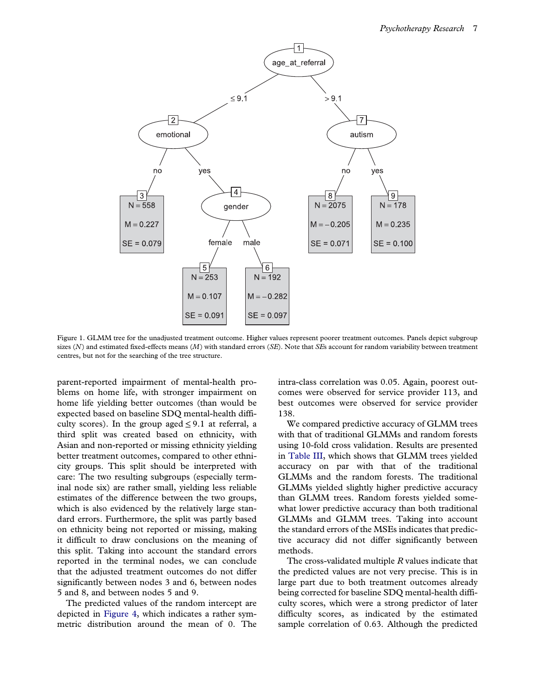<span id="page-7-0"></span>

Figure 1. GLMM tree for the unadjusted treatment outcome. Higher values represent poorer treatment outcomes. Panels depict subgroup sizes ( $N$ ) and estimated fixed-effects means ( $M$ ) with standard errors ( $SE$ ). Note that  $SE$ s account for random variability between treatment centres, but not for the searching of the tree structure.

parent-reported impairment of mental-health problems on home life, with stronger impairment on home life yielding better outcomes (than would be expected based on baseline SDQ mental-health difficulty scores). In the group aged  $\leq 9.1$  at referral, a third split was created based on ethnicity, with Asian and non-reported or missing ethnicity yielding better treatment outcomes, compared to other ethnicity groups. This split should be interpreted with care: The two resulting subgroups (especially terminal node six) are rather small, yielding less reliable estimates of the difference between the two groups, which is also evidenced by the relatively large standard errors. Furthermore, the split was partly based on ethnicity being not reported or missing, making it difficult to draw conclusions on the meaning of this split. Taking into account the standard errors reported in the terminal nodes, we can conclude that the adjusted treatment outcomes do not differ significantly between nodes 3 and 6, between nodes 5 and 8, and between nodes 5 and 9.

The predicted values of the random intercept are depicted in [Figure 4,](#page-10-0) which indicates a rather symmetric distribution around the mean of 0. The

intra-class correlation was 0.05. Again, poorest outcomes were observed for service provider 113, and best outcomes were observed for service provider 138.

We compared predictive accuracy of GLMM trees with that of traditional GLMMs and random forests using 10-fold cross validation. Results are presented in [Table III,](#page-10-0) which shows that GLMM trees yielded accuracy on par with that of the traditional GLMMs and the random forests. The traditional GLMMs yielded slightly higher predictive accuracy than GLMM trees. Random forests yielded somewhat lower predictive accuracy than both traditional GLMMs and GLMM trees. Taking into account the standard errors of the MSEs indicates that predictive accuracy did not differ significantly between methods.

The cross-validated multiple R values indicate that the predicted values are not very precise. This is in large part due to both treatment outcomes already being corrected for baseline SDQ mental-health difficulty scores, which were a strong predictor of later difficulty scores, as indicated by the estimated sample correlation of 0.63. Although the predicted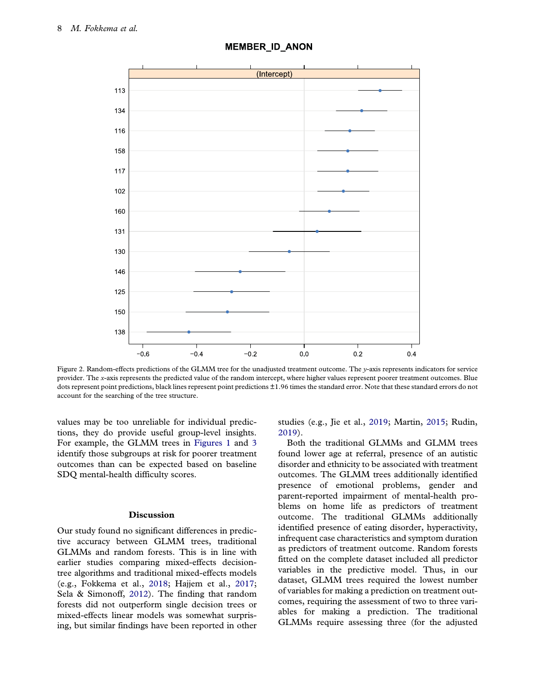<span id="page-8-0"></span>

### **MEMBER ID ANON**

Figure 2. Random-effects predictions of the GLMM tree for the unadjusted treatment outcome. The y-axis represents indicators for service provider. The x-axis represents the predicted value of the random intercept, where higher values represent poorer treatment outcomes. Blue dots represent point predictions, black lines represent point predictions ±1.96 times the standard error. Note that these standard errors do not account for the searching of the tree structure.

values may be too unreliable for individual predictions, they do provide useful group-level insights. For example, the GLMM trees in [Figures 1](#page-7-0) and [3](#page-9-0) identify those subgroups at risk for poorer treatment outcomes than can be expected based on baseline SDQ mental-health difficulty scores.

### Discussion

Our study found no significant differences in predictive accuracy between GLMM trees, traditional GLMMs and random forests. This is in line with earlier studies comparing mixed-effects decisiontree algorithms and traditional mixed-effects models (e.g., Fokkema et al., [2018](#page-12-0); Hajjem et al., [2017;](#page-12-0) Sela & Simonoff, [2012\)](#page-13-0). The finding that random forests did not outperform single decision trees or mixed-effects linear models was somewhat surprising, but similar findings have been reported in other studies (e.g., Jie et al., [2019](#page-12-0); Martin, [2015](#page-12-0); Rudin, [2019\)](#page-12-0).

Both the traditional GLMMs and GLMM trees found lower age at referral, presence of an autistic disorder and ethnicity to be associated with treatment outcomes. The GLMM trees additionally identified presence of emotional problems, gender and parent-reported impairment of mental-health problems on home life as predictors of treatment outcome. The traditional GLMMs additionally identified presence of eating disorder, hyperactivity, infrequent case characteristics and symptom duration as predictors of treatment outcome. Random forests fitted on the complete dataset included all predictor variables in the predictive model. Thus, in our dataset, GLMM trees required the lowest number of variables for making a prediction on treatment outcomes, requiring the assessment of two to three variables for making a prediction. The traditional GLMMs require assessing three (for the adjusted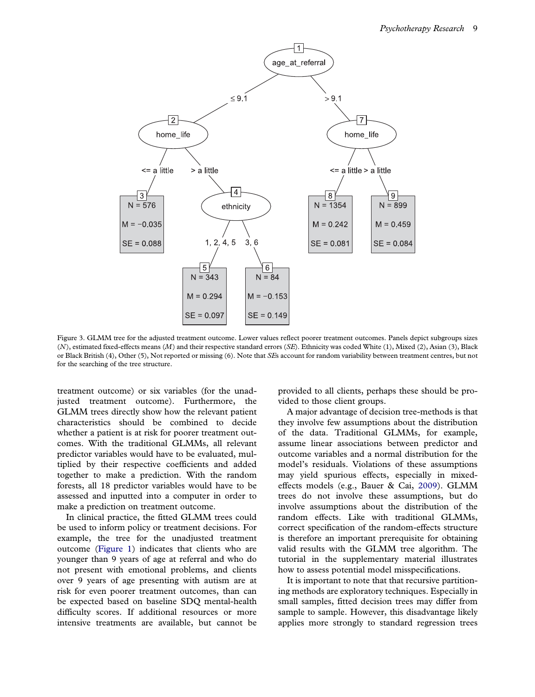<span id="page-9-0"></span>

Figure 3. GLMM tree for the adjusted treatment outcome. Lower values reflect poorer treatment outcomes. Panels depict subgroups sizes (N), estimated fixed-effects means (M) and their respective standard errors (SE). Ethnicity was coded White (1), Mixed (2), Asian (3), Black or Black British (4), Other (5), Not reported or missing (6). Note that SEs account for random variability between treatment centres, but not for the searching of the tree structure.

treatment outcome) or six variables (for the unadjusted treatment outcome). Furthermore, the GLMM trees directly show how the relevant patient characteristics should be combined to decide whether a patient is at risk for poorer treatment outcomes. With the traditional GLMMs, all relevant predictor variables would have to be evaluated, multiplied by their respective coefficients and added together to make a prediction. With the random forests, all 18 predictor variables would have to be assessed and inputted into a computer in order to make a prediction on treatment outcome.

In clinical practice, the fitted GLMM trees could be used to inform policy or treatment decisions. For example, the tree for the unadjusted treatment outcome ([Figure 1](#page-7-0)) indicates that clients who are younger than 9 years of age at referral and who do not present with emotional problems, and clients over 9 years of age presenting with autism are at risk for even poorer treatment outcomes, than can be expected based on baseline SDQ mental-health difficulty scores. If additional resources or more intensive treatments are available, but cannot be provided to all clients, perhaps these should be provided to those client groups.

A major advantage of decision tree-methods is that they involve few assumptions about the distribution of the data. Traditional GLMMs, for example, assume linear associations between predictor and outcome variables and a normal distribution for the model's residuals. Violations of these assumptions may yield spurious effects, especially in mixedeffects models (e.g., Bauer & Cai, [2009](#page-11-0)). GLMM trees do not involve these assumptions, but do involve assumptions about the distribution of the random effects. Like with traditional GLMMs, correct specification of the random-effects structure is therefore an important prerequisite for obtaining valid results with the GLMM tree algorithm. The tutorial in the supplementary material illustrates how to assess potential model misspecifications.

It is important to note that that recursive partitioning methods are exploratory techniques. Especially in small samples, fitted decision trees may differ from sample to sample. However, this disadvantage likely applies more strongly to standard regression trees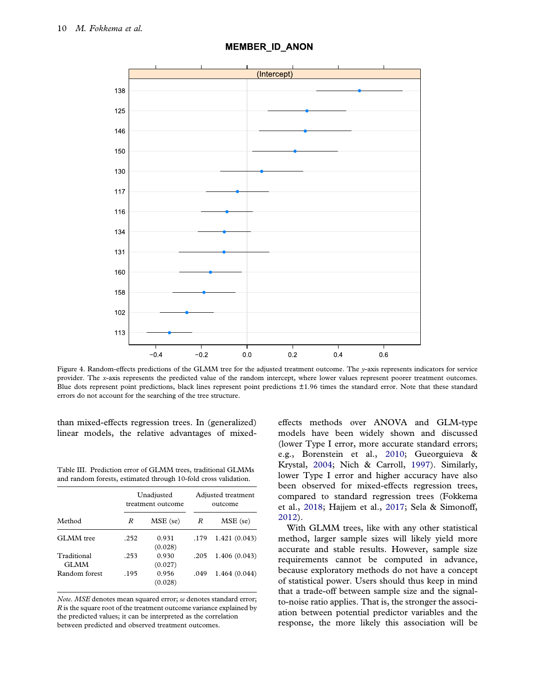<span id="page-10-0"></span>

### **MEMBER ID ANON**

Figure 4. Random-effects predictions of the GLMM tree for the adjusted treatment outcome. The y-axis represents indicators for service provider. The x-axis represents the predicted value of the random intercept, where lower values represent poorer treatment outcomes. Blue dots represent point predictions, black lines represent point predictions ±1.96 times the standard error. Note that these standard errors do not account for the searching of the tree structure.

than mixed-effects regression trees. In (generalized) linear models, the relative advantages of mixed-

Table III. Prediction error of GLMM trees, traditional GLMMs and random forests, estimated through 10-fold cross validation.

|                            | Unadjusted<br>treatment outcome |                  | Adjusted treatment<br>outcome |               |
|----------------------------|---------------------------------|------------------|-------------------------------|---------------|
| Method                     | R                               | MSE (se)         | R                             | MSE (se)      |
| GLMM tree                  | .252                            | 0.931<br>(0.028) | .179                          | 1.421 (0.043) |
| Traditional<br><b>GLMM</b> | .253                            | 0.930<br>(0.027) | .205                          | 1.406 (0.043) |
| Random forest              | .195                            | 0.956<br>(0.028) | .049                          | 1.464(0.044)  |

Note. MSE denotes mean squared error; se denotes standard error; R is the square root of the treatment outcome variance explained by the predicted values; it can be interpreted as the correlation between predicted and observed treatment outcomes.

effects methods over ANOVA and GLM-type models have been widely shown and discussed (lower Type I error, more accurate standard errors; e.g., Borenstein et al., [2010;](#page-11-0) Gueorguieva & Krystal, [2004;](#page-12-0) Nich & Carroll, [1997](#page-12-0)). Similarly, lower Type I error and higher accuracy have also been observed for mixed-effects regression trees, compared to standard regression trees (Fokkema et al., [2018;](#page-12-0) Hajjem et al., [2017;](#page-12-0) Sela & Simonoff, [2012\)](#page-13-0).

With GLMM trees, like with any other statistical method, larger sample sizes will likely yield more accurate and stable results. However, sample size requirements cannot be computed in advance, because exploratory methods do not have a concept of statistical power. Users should thus keep in mind that a trade-off between sample size and the signalto-noise ratio applies. That is, the stronger the association between potential predictor variables and the response, the more likely this association will be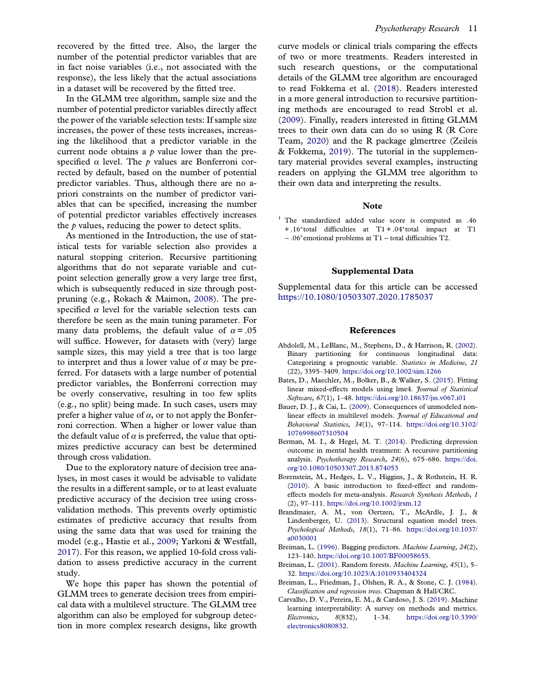<span id="page-11-0"></span>recovered by the fitted tree. Also, the larger the number of the potential predictor variables that are in fact noise variables (i.e., not associated with the response), the less likely that the actual associations in a dataset will be recovered by the fitted tree.

In the GLMM tree algorithm, sample size and the number of potential predictor variables directly affect the power of the variable selection tests: If sample size increases, the power of these tests increases, increasing the likelihood that a predictor variable in the current node obtains a  $p$  value lower than the prespecified  $\alpha$  level. The p values are Bonferroni corrected by default, based on the number of potential predictor variables. Thus, although there are no apriori constraints on the number of predictor variables that can be specified, increasing the number of potential predictor variables effectively increases the  $p$  values, reducing the power to detect splits.

As mentioned in the Introduction, the use of statistical tests for variable selection also provides a natural stopping criterion. Recursive partitioning algorithms that do not separate variable and cutpoint selection generally grow a very large tree first, which is subsequently reduced in size through postpruning (e.g., Rokach & Maimon, [2008\)](#page-12-0). The prespecified  $\alpha$  level for the variable selection tests can therefore be seen as the main tuning parameter. For many data problems, the default value of  $\alpha = .05$ will suffice. However, for datasets with (very) large sample sizes, this may yield a tree that is too large to interpret and thus a lower value of  $\alpha$  may be preferred. For datasets with a large number of potential predictor variables, the Bonferroni correction may be overly conservative, resulting in too few splits (e.g., no split) being made. In such cases, users may prefer a higher value of  $\alpha$ , or to not apply the Bonferroni correction. When a higher or lower value than the default value of  $\alpha$  is preferred, the value that optimizes predictive accuracy can best be determined through cross validation.

Due to the exploratory nature of decision tree analyses, in most cases it would be advisable to validate the results in a different sample, or to at least evaluate predictive accuracy of the decision tree using crossvalidation methods. This prevents overly optimistic estimates of predictive accuracy that results from using the same data that was used for training the model (e.g., Hastie et al., [2009](#page-12-0); Yarkoni & Westfall, [2017\)](#page-13-0). For this reason, we applied 10-fold cross validation to assess predictive accuracy in the current study.

We hope this paper has shown the potential of GLMM trees to generate decision trees from empirical data with a multilevel structure. The GLMM tree algorithm can also be employed for subgroup detection in more complex research designs, like growth curve models or clinical trials comparing the effects of two or more treatments. Readers interested in such research questions, or the computational details of the GLMM tree algorithm are encouraged to read Fokkema et al. ([2018](#page-12-0)). Readers interested in a more general introduction to recursive partitioning methods are encouraged to read Strobl et al. ([2009](#page-13-0)). Finally, readers interested in fitting GLMM trees to their own data can do so using R (R Core Team, [2020](#page-12-0)) and the R package glmertree (Zeileis & Fokkema, [2019\)](#page-13-0). The tutorial in the supplementary material provides several examples, instructing readers on applying the GLMM tree algorithm to their own data and interpreting the results.

### Note

<sup>1</sup> The standardized added value score is computed as .46 + .16∗total difficulties at T1 + .04∗total impact at T1 − .06∗emotional problems at T1 − total difficulties T2.

### Supplemental Data

Supplemental data for this article can be accessed <https://10.1080/10503307.2020.1785037>

### References

- Abdolell, M., LeBlanc, M., Stephens, D., & Harrison, R. ([2002\)](#page-4-0). Binary partitioning for continuous longitudinal data: Categorizing a prognostic variable. Statistics in Medicine, 21 (22), 3395–3409. <https://doi.org/10.1002/sim.1266>
- Bates, D., Maechler, M., Bolker, B., & Walker, S. [\(2015](#page-5-0)). Fitting linear mixed-effects models using lme4. Journal of Statistical Software, 67(1), 1–48. <https://doi.org/10.18637/jss.v067.i01>
- Bauer, D. J., & Cai, L. ([2009\)](#page-9-0). Consequences of unmodeled nonlinear effects in multilevel models. Journal of Educational and Behavioral Statistics, 34(1), 97–114. [https://doi.org/10.3102/](https://doi.org/10.3102/1076998607310504) [1076998607310504](https://doi.org/10.3102/1076998607310504)
- Berman, M. I., & Hegel, M. T. ([2014\)](#page-2-0). Predicting depression outcome in mental health treatment: A recursive partitioning analysis. Psychotherapy Research, 24(6), 675–686. [https://doi.](https://doi.org/10.1080/10503307.2013.874053) [org/10.1080/10503307.2013.874053](https://doi.org/10.1080/10503307.2013.874053)
- Borenstein, M., Hedges, L. V., Higgins, J., & Rothstein, H. R. [\(2010\)](#page-10-0). A basic introduction to fixed-effect and randomeffects models for meta-analysis. Research Synthesis Methods, 1 (2), 97–111. <https://doi.org/10.1002/jrsm.12>
- Brandmaier, A. M., von Oertzen, T., McArdle, J. J., & Lindenberger, U. ([2013](#page-4-0)). Structural equation model trees. Psychological Methods, 18(1), 71–86. [https://doi.org/10.1037/](https://doi.org/10.1037/a0030001) [a0030001](https://doi.org/10.1037/a0030001)
- Breiman, L. [\(1996](#page-2-0)). Bagging predictors. Machine Learning, 24(2), 123–140. <https://doi.org/10.1007/BF00058655>.
- Breiman, L. [\(2001](#page-2-0)). Random forests. Machine Learning, 45(1), 5-32. <https://doi.org/10.1023/A:1010933404324>
- Breiman, L., Friedman, J., Olshen, R. A., & Stone, C. J. ([1984\)](#page-3-0). Classification and regression trees. Chapman & Hall/CRC.
- Carvalho, D. V., Pereira, E. M., & Cardoso, J. S. [\(2019\)](#page-3-0). Machine learning interpretability: A survey on methods and metrics. Electronics, 8(832), 1–34. [https://doi.org/10.3390/](https://doi.org/10.3390/electronics8080832) [electronics8080832.](https://doi.org/10.3390/electronics8080832)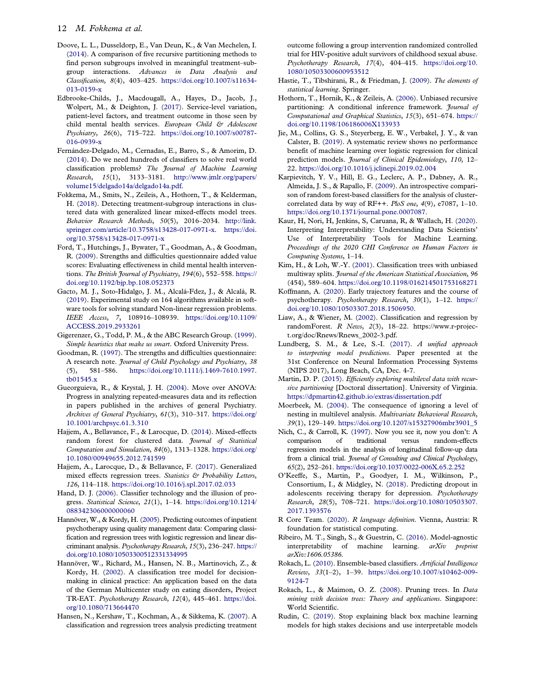- <span id="page-12-0"></span>Doove, L. L., Dusseldorp, E., Van Deun, K., & Van Mechelen, I. ([2014\)](#page-4-0). A comparison of five recursive partitioning methods to find person subgroups involved in meaningful treatment–subgroup interactions. Advances in Data Analysis and Classification, 8(4), 403–425. [https://doi.org/10.1007/s11634-](https://doi.org/10.1007/s11634-013-0159-x) [013-0159-x](https://doi.org/10.1007/s11634-013-0159-x)
- Edbrooke-Childs, J., Macdougall, A., Hayes, D., Jacob, J., Wolpert, M., & Deighton, J. ([2017\)](#page-2-0). Service-level variation, patient-level factors, and treatment outcome in those seen by child mental health services. European Child & Adolescent Psychiatry, 26(6), 715–722. [https://doi.org/10.1007/s00787-](https://doi.org/10.1007/s00787-016-0939-x) [016-0939-x](https://doi.org/10.1007/s00787-016-0939-x)
- Fernández-Delgado, M., Cernadas, E., Barro, S., & Amorim, D. ([2014\)](#page-2-0). Do we need hundreds of classifiers to solve real world classification problems? The Journal of Machine Learning Research, 15(1), 3133–3181. [http://www.jmlr.org/papers/](http://www.jmlr.org/papers/volume15/delgado14a/delgado14a.pdf) [volume15/delgado14a/delgado14a.pdf.](http://www.jmlr.org/papers/volume15/delgado14a/delgado14a.pdf)
- Fokkema, M., Smits, N., Zeileis, A., Hothorn, T., & Kelderman, H. [\(2018\)](#page-2-0). Detecting treatment-subgroup interactions in clustered data with generalized linear mixed-effects model trees. Behavior Research Methods, 50(5), 2016–2034. [http://link.](http://link.springer.com/article/10.3758/s13428-017-0971-x) [springer.com/article/10.3758/s13428-017-0971-x.](http://link.springer.com/article/10.3758/s13428-017-0971-x) [https://doi.](https://doi.org/10.3758/s13428-017-0971-x) [org/10.3758/s13428-017-0971-x](https://doi.org/10.3758/s13428-017-0971-x)
- Ford, T., Hutchings, J., Bywater, T., Goodman, A., & Goodman, R. [\(2009](#page-5-0)). Strengths and difficulties questionnaire added value scores: Evaluating effectiveness in child mental health interventions. The British Journal of Psychiatry, 194(6), 552-558. [https://](https://doi.org/10.1192/bjp.bp.108.052373) [doi.org/10.1192/bjp.bp.108.052373](https://doi.org/10.1192/bjp.bp.108.052373)
- Gacto, M. J., Soto-Hidalgo, J. M., Alcalá-Fdez, J., & Alcalá, R. ([2019\)](#page-2-0). Experimental study on 164 algorithms available in software tools for solving standard Non-linear regression problems. IEEE Access, 7, 108916–108939. [https://doi.org/10.1109/](https://doi.org/10.1109/ACCESS.2019.2933261) [ACCESS.2019.2933261](https://doi.org/10.1109/ACCESS.2019.2933261)
- Gigerenzer, G., Todd, P. M., & the ABC Research Group. ([1999](#page-2-0)). Simple heuristics that make us smart. Oxford University Press.
- Goodman, R. [\(1997\)](#page-5-0). The strengths and difficulties questionnaire: A research note. Journal of Child Psychology and Psychiatry, 38 (5), 581–586. [https://doi.org/10.1111/j.1469-7610.1997.](https://doi.org/10.1111/j.1469-7610.1997.tb01545.x) [tb01545.x](https://doi.org/10.1111/j.1469-7610.1997.tb01545.x)
- Gueorguieva, R., & Krystal, J. H. ([2004\)](#page-10-0). Move over ANOVA: Progress in analyzing repeated-measures data and its reflection in papers published in the archives of general Psychiatry. Archives of General Psychiatry, 61(3), 310–317. [https://doi.org/](https://doi.org/10.1001/archpsyc.61.3.310) [10.1001/archpsyc.61.3.310](https://doi.org/10.1001/archpsyc.61.3.310)
- Hajjem, A., Bellavance, F., & Larocque, D. ([2014\)](#page-6-0). Mixed-effects random forest for clustered data. Journal of Statistical Computation and Simulation, 84(6), 1313–1328. [https://doi.org/](https://doi.org/10.1080/00949655.2012.741599) [10.1080/00949655.2012.741599](https://doi.org/10.1080/00949655.2012.741599)
- Hajjem, A., Larocque, D., & Bellavance, F. ([2017\)](#page-4-0). Generalized mixed effects regression trees. Statistics & Probability Letters, 126, 114–118. <https://doi.org/10.1016/j.spl.2017.02.033>
- Hand, D. J. [\(2006](#page-3-0)). Classifier technology and the illusion of progress. Statistical Science, 21(1), 1–14. [https://doi.org/10.1214/](https://doi.org/10.1214/088342306000000060) [088342306000000060](https://doi.org/10.1214/088342306000000060)
- Hannöver, W., & Kordy, H. [\(2005\)](#page-2-0). Predicting outcomes of inpatient psychotherapy using quality management data: Comparing classification and regression trees with logistic regression and linear discriminant analysis. Psychotherapy Research, 15(3), 236–247. [https://](https://doi.org/10.1080/10503300512331334995) [doi.org/10.1080/10503300512331334995](https://doi.org/10.1080/10503300512331334995)
- Hannöver, W., Richard, M., Hansen, N. B., Martinovich, Z., & Kordy, H. [\(2002](#page-2-0)). A classification tree model for decisionmaking in clinical practice: An application based on the data of the German Multicenter study on eating disorders, Project TR-EAT. Psychotherapy Research, 12(4), 445–461. [https://doi.](https://doi.org/10.1080/713664470) [org/10.1080/713664470](https://doi.org/10.1080/713664470)
- Hansen, N., Kershaw, T., Kochman, A., & Sikkema, K. [\(2007](#page-2-0)). A classification and regression trees analysis predicting treatment

outcome following a group intervention randomized controlled trial for HIV-positive adult survivors of childhood sexual abuse. Psychotherapy Research, 17(4), 404–415. [https://doi.org/10.](https://doi.org/10.1080/10503300600953512) [1080/10503300600953512](https://doi.org/10.1080/10503300600953512)

- Hastie, T., Tibshirani, R., & Friedman, J. [\(2009\)](#page-6-0). The elements of statistical learning. Springer.
- Hothorn, T., Hornik, K., & Zeileis, A. ([2006](#page-3-0)). Unbiased recursive partitioning: A conditional inference framework. *Journal of* Computational and Graphical Statistics, 15(3), 651–674. [https://](https://doi.org/10.1198/106186006X133933) [doi.org/10.1198/106186006X133933](https://doi.org/10.1198/106186006X133933)
- Jie, M., Collins, G. S., Steyerberg, E. W., Verbakel, J. Y., & van Calster, B. [\(2019](#page-3-0)). A systematic review shows no performance benefit of machine learning over logistic regression for clinical prediction models. Journal of Clinical Epidemiology, 110, 12– 22. <https://doi.org/10.1016/j.jclinepi.2019.02.004>
- Karpievitch, Y. V., Hill, E. G., Leclerc, A. P., Dabney, A. R., Almeida, J. S., & Rapallo, F. [\(2009\)](#page-6-0). An introspective comparison of random forest-based classifiers for the analysis of clustercorrelated data by way of RF++. PloS one, 4(9), e7087, 1-10. [https://doi.org/10.1371/journal.pone.0007087.](https://doi.org/10.1371/journal.pone.0007087)
- Kaur, H, Nori, H, Jenkins, S, Caruana, R, & Wallach, H. ([2020\)](#page-3-0). Interpreting Interpretability: Understanding Data Scientists' Use of Interpretability Tools for Machine Learning. Proceedings of the 2020 CHI Conference on Human Factors in Computing Systems, 1–14.
- Kim, H., & Loh, W.-Y. [\(2001\)](#page-3-0). Classification trees with unbiased multiway splits. Journal of the American Statistical Association, 96 (454), 589–604. <https://doi.org/10.1198/016214501753168271>
- Koffmann, A. [\(2020\)](#page-2-0). Early trajectory features and the course of psychotherapy. Psychotherapy Research, 30(1), 1–12. [https://](https://doi.org/10.1080/10503307.2018.1506950) [doi.org/10.1080/10503307.2018.1506950](https://doi.org/10.1080/10503307.2018.1506950).
- Liaw, A., & Wiener, M. ([2002](#page-5-0)). Classification and regression by randomForest. R News, 2(3), 18–22. https://www.r-project.org/doc/Rnews/Rnews\_2002-3.pdf.
- Lundberg, S. M., & Lee, S.-I. [\(2017](#page-3-0)). A unified approach to interpreting model predictions. Paper presented at the 31st Conference on Neural Information Processing Systems (NIPS 2017), Long Beach, CA, Dec. 4-7.
- Martin, D. P. [\(2015\)](#page-6-0). Efficiently exploring multilevel data with recursive partitioning [Doctoral dissertation]. University of Virginia. <https://dpmartin42.github.io/extras/dissertation.pdf>
- Moerbeek, M. [\(2004](#page-4-0)). The consequence of ignoring a level of nesting in multilevel analysis. Multivariate Behavioral Research, 39(1), 129–149. [https://doi.org/10.1207/s15327906mbr3901\\_5](https://doi.org/10.1207/s15327906mbr3901_5)
- Nich, C., & Carroll, K. ([1997](#page-10-0)). Now you see it, now you don't: A comparison of traditional versus random-effects regression models in the analysis of longitudinal follow-up data from a clinical trial. Journal of Consulting and Clinical Psychology, 65(2), 252–261. <https://doi.org/10.1037/0022-006X.65.2.252>
- O'Keeffe, S., Martin, P., Goodyer, I. M., Wilkinson, P., Consortium, I., & Midgley, N. ([2018\)](#page-2-0). Predicting dropout in adolescents receiving therapy for depression. Psychotherapy Research, 28(5), 708–721. [https://doi.org/10.1080/10503307.](https://doi.org/10.1080/10503307.2017.1393576) [2017.1393576](https://doi.org/10.1080/10503307.2017.1393576)
- R Core Team. ([2020\)](#page-2-0). R language definition. Vienna, Austria: R foundation for statistical computing.
- Ribeiro, M. T., Singh, S., & Guestrin, C. [\(2016\)](#page-3-0). Model-agnostic interpretability of machine learning. arXiv preprint arXiv:1606.05386.
- Rokach, L. [\(2010\)](#page-2-0). Ensemble-based classifiers. Artificial Intelligence Review, 33(1–2), 1–39. [https://doi.org/10.1007/s10462-009-](https://doi.org/10.1007/s10462-009-9124-7) [9124-7](https://doi.org/10.1007/s10462-009-9124-7)
- Rokach, L., & Maimon, O. Z. ([2008\)](#page-11-0). Pruning trees. In Data mining with decision trees: Theory and applications. Singapore: World Scientific.
- Rudin, C. ([2019](#page-3-0)). Stop explaining black box machine learning models for high stakes decisions and use interpretable models